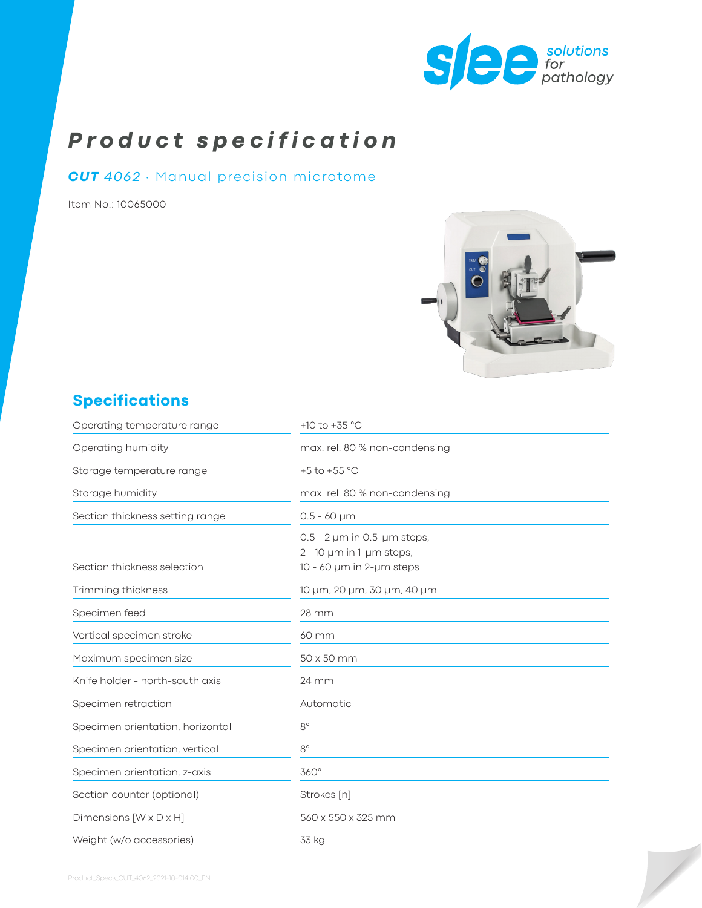

# *Product specification*

### *CUT 4062* ∙ Manual precision microtome

Item No.: 10065000



# **Specifications**

| Operating temperature range      | +10 to +35 $^{\circ}$ C                                                                            |
|----------------------------------|----------------------------------------------------------------------------------------------------|
| Operating humidity               | max. rel. 80 % non-condensing                                                                      |
| Storage temperature range        | +5 to +55 $^{\circ}$ C                                                                             |
| Storage humidity                 | max. rel. 80 % non-condensing                                                                      |
| Section thickness setting range  | $0.5 - 60 \mu m$                                                                                   |
| Section thickness selection      | $0.5 - 2 \mu m$ in 0.5- $\mu$ m steps,<br>$2 - 10$ µm in 1-µm steps,<br>$10 - 60$ µm in 2-µm steps |
| Trimming thickness               | 10 µm, 20 µm, 30 µm, 40 µm                                                                         |
| Specimen feed                    | 28 mm                                                                                              |
| Vertical specimen stroke         | 60 mm                                                                                              |
| Maximum specimen size            | 50 x 50 mm                                                                                         |
| Knife holder - north-south axis  | 24 mm                                                                                              |
| Specimen retraction              | Automatic                                                                                          |
| Specimen orientation, horizontal | $8^{\circ}$                                                                                        |
| Specimen orientation, vertical   | $8^{\circ}$                                                                                        |
| Specimen orientation, z-axis     | 360°                                                                                               |
| Section counter (optional)       | Strokes [n]                                                                                        |
| Dimensions [W x D x H]           | 560 x 550 x 325 mm                                                                                 |
| Weight (w/o accessories)         | 33 kg                                                                                              |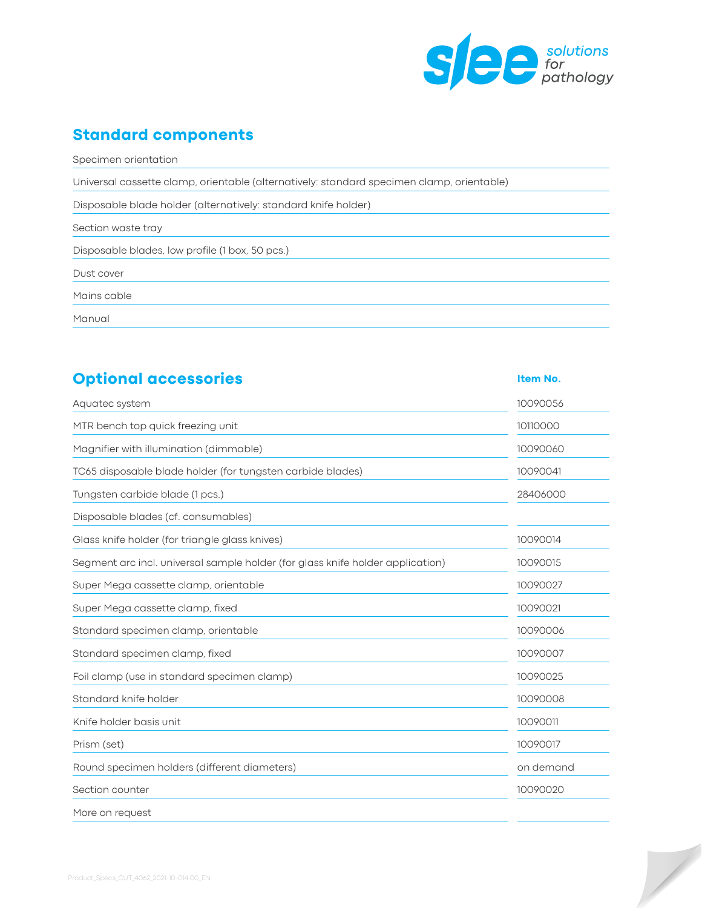

 $\overline{\phantom{a}}$ 

## **Standard components**

Specimen orientation

Universal cassette clamp, orientable (alternatively: standard specimen clamp, orientable)

Disposable blade holder (alternatively: standard knife holder)

Section waste tray

Disposable blades, low profile (1 box, 50 pcs.)

Dust cover

Mains cable

Manual

| <b>Optional accessories</b>                                                    | Item No.  |  |
|--------------------------------------------------------------------------------|-----------|--|
| Aquatec system                                                                 | 10090056  |  |
| MTR bench top quick freezing unit                                              | 10110000  |  |
| Magnifier with illumination (dimmable)                                         | 10090060  |  |
| TC65 disposable blade holder (for tungsten carbide blades)                     | 10090041  |  |
| Tungsten carbide blade (1 pcs.)                                                | 28406000  |  |
| Disposable blades (cf. consumables)                                            |           |  |
| Glass knife holder (for triangle glass knives)                                 | 10090014  |  |
| Segment arc incl. universal sample holder (for glass knife holder application) | 10090015  |  |
| Super Mega cassette clamp, orientable                                          | 10090027  |  |
| Super Mega cassette clamp, fixed                                               | 10090021  |  |
| Standard specimen clamp, orientable                                            | 10090006  |  |
| Standard specimen clamp, fixed                                                 | 10090007  |  |
| Foil clamp (use in standard specimen clamp)                                    | 10090025  |  |
| Standard knife holder                                                          | 10090008  |  |
| Knife holder basis unit                                                        | 10090011  |  |
| Prism (set)                                                                    | 10090017  |  |
| Round specimen holders (different diameters)                                   | on demand |  |
| Section counter                                                                | 10090020  |  |
| More on request                                                                |           |  |